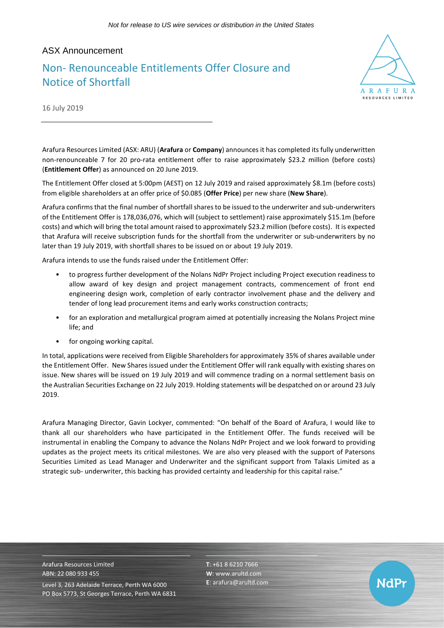## ASX Announcement

# Non- Renounceable Entitlements Offer Closure and Notice of Shortfall



16 July 2019

Arafura Resources Limited (ASX: ARU) (**Arafura** or **Company**) announces it has completed its fully underwritten non-renounceable 7 for 20 pro-rata entitlement offer to raise approximately \$23.2 million (before costs) (**Entitlement Offer**) as announced on 20 June 2019.

The Entitlement Offer closed at 5:00pm (AEST) on 12 July 2019 and raised approximately \$8.1m (before costs) from eligible shareholders at an offer price of \$0.085 (**Offer Price**) per new share (**New Share**).

Arafura confirms that the final number of shortfall shares to be issued to the underwriter and sub-underwriters of the Entitlement Offer is 178,036,076, which will (subject to settlement) raise approximately \$15.1m (before costs) and which will bring the total amount raised to approximately \$23.2 million (before costs). It is expected that Arafura will receive subscription funds for the shortfall from the underwriter or sub-underwriters by no later than 19 July 2019, with shortfall shares to be issued on or about 19 July 2019.

Arafura intends to use the funds raised under the Entitlement Offer:

- to progress further development of the Nolans NdPr Project including Project execution readiness to allow award of key design and project management contracts, commencement of front end engineering design work, completion of early contractor involvement phase and the delivery and tender of long lead procurement items and early works construction contracts;
- for an exploration and metallurgical program aimed at potentially increasing the Nolans Project mine life; and
- for ongoing working capital.

In total, applications were received from Eligible Shareholders for approximately 35% of shares available under the Entitlement Offer. New Shares issued under the Entitlement Offer will rank equally with existing shares on issue. New shares will be issued on 19 July 2019 and will commence trading on a normal settlement basis on the Australian Securities Exchange on 22 July 2019. Holding statements will be despatched on or around 23 July 2019.

Arafura Managing Director, Gavin Lockyer, commented: "On behalf of the Board of Arafura, I would like to thank all our shareholders who have participated in the Entitlement Offer. The funds received will be instrumental in enabling the Company to advance the Nolans NdPr Project and we look forward to providing updates as the project meets its critical milestones. We are also very pleased with the support of Patersons Securities Limited as Lead Manager and Underwriter and the significant support from Talaxis Limited as a strategic sub- underwriter, this backing has provided certainty and leadership for this capital raise."

Arafura Resources Limited ABN: 22 080 933 455 Level 3, 263 Adelaide Terrace, Perth WA 6000 PO Box 5773, St Georges Terrace, Perth WA 6831 **T**: +61 8 6210 7666 **W**: [www.arultd.com](http://www.arultd.com/) **E**[: arafura@arultd.com](mailto:arafura@arultd.com)